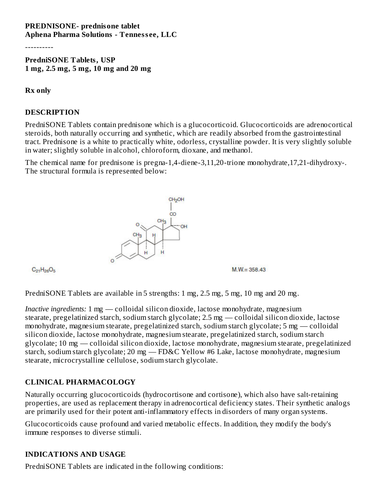#### **PREDNISONE- prednisone tablet Aphena Pharma Solutions - Tenness ee, LLC**

----------

**PredniSONE Tablets, USP 1 mg, 2.5 mg, 5 mg, 10 mg and 20 mg**

**Rx only**

#### **DESCRIPTION**

PredniSONE Tablets contain prednisone which is a glucocorticoid. Glucocorticoids are adrenocortical steroids, both naturally occurring and synthetic, which are readily absorbed from the gastrointestinal tract. Prednisone is a white to practically white, odorless, crystalline powder. It is very slightly soluble in water; slightly soluble in alcohol, chloroform, dioxane, and methanol.

The chemical name for prednisone is pregna-1,4-diene-3,11,20-trione monohydrate,17,21-dihydroxy-. The structural formula is represented below:



PredniSONE Tablets are available in 5 strengths: 1 mg, 2.5 mg, 5 mg, 10 mg and 20 mg.

*Inactive ingredients:* 1 mg — colloidal silicon dioxide, lactose monohydrate, magnesium stearate, pregelatinized starch, sodium starch glycolate; 2.5 mg — colloidal silicon dioxide, lactose monohydrate, magnesium stearate, pregelatinized starch, sodium starch glycolate; 5 mg — colloidal silicon dioxide, lactose monohydrate, magnesium stearate, pregelatinized starch, sodium starch glycolate; 10 mg — colloidal silicon dioxide, lactose monohydrate, magnesium stearate, pregelatinized starch, sodium starch glycolate; 20 mg — FD&C Yellow #6 Lake, lactose monohydrate, magnesium stearate, microcrystalline cellulose, sodium starch glycolate.

### **CLINICAL PHARMACOLOGY**

Naturally occurring glucocorticoids (hydrocortisone and cortisone), which also have salt-retaining properties, are used as replacement therapy in adrenocortical deficiency states. Their synthetic analogs are primarily used for their potent anti-inflammatory effects in disorders of many organ systems.

Glucocorticoids cause profound and varied metabolic effects. In addition, they modify the body's immune responses to diverse stimuli.

### **INDICATIONS AND USAGE**

PredniSONE Tablets are indicated in the following conditions:



```
C_{21}H_{26}O_5
```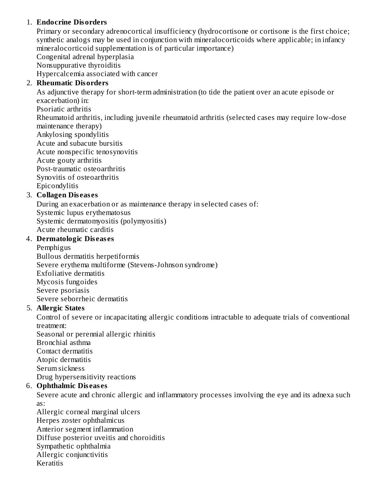## 1. **Endocrine Disorders**

Primary or secondary adrenocortical insufficiency (hydrocortisone or cortisone is the first choice; synthetic analogs may be used in conjunction with mineralocorticoids where applicable; in infancy mineralocorticoid supplementation is of particular importance)

Congenital adrenal hyperplasia Nonsuppurative thyroiditis

Hypercalcemia associated with cancer

# 2. **Rheumatic Disorders**

As adjunctive therapy for short-term administration (to tide the patient over an acute episode or exacerbation) in:

Psoriatic arthritis

Rheumatoid arthritis, including juvenile rheumatoid arthritis (selected cases may require low-dose maintenance therapy)

Ankylosing spondylitis

Acute and subacute bursitis

Acute nonspecific tenosynovitis

Acute gouty arthritis

Post-traumatic osteoarthritis

Synovitis of osteoarthritis

Epicondylitis

## 3. **Collagen Dis eas es**

During an exacerbation or as maintenance therapy in selected cases of: Systemic lupus erythematosus Systemic dermatomyositis (polymyositis)

Acute rheumatic carditis

## 4. **Dermatologic Dis eas es**

Pemphigus Bullous dermatitis herpetiformis Severe erythema multiforme (Stevens-Johnson syndrome) Exfoliative dermatitis Mycosis fungoides Severe psoriasis Severe seborrheic dermatitis

### 5. **Allergic States**

Control of severe or incapacitating allergic conditions intractable to adequate trials of conventional treatment:

Seasonal or perennial allergic rhinitis Bronchial asthma Contact dermatitis Atopic dermatitis Serum sickness Drug hypersensitivity reactions

### 6. **Ophthalmic Dis eas es**

Severe acute and chronic allergic and inflammatory processes involving the eye and its adnexa such as:

Allergic corneal marginal ulcers Herpes zoster ophthalmicus Anterior segment inflammation Diffuse posterior uveitis and choroiditis Sympathetic ophthalmia Allergic conjunctivitis **Keratitis**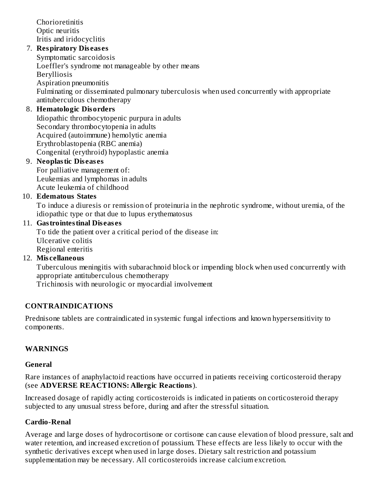Chorioretinitis Optic neuritis Iritis and iridocyclitis

## 7. **Respiratory Dis eas es**

Symptomatic sarcoidosis Loeffler's syndrome not manageable by other means Berylliosis Aspiration pneumonitis Fulminating or disseminated pulmonary tuberculosis when used concurrently with appropriate antituberculous chemotherapy

# 8. **Hematologic Disorders**

Idiopathic thrombocytopenic purpura in adults Secondary thrombocytopenia in adults Acquired (autoimmune) hemolytic anemia Erythroblastopenia (RBC anemia) Congenital (erythroid) hypoplastic anemia

#### 9. **Neoplastic Dis eas es**

For palliative management of: Leukemias and lymphomas in adults Acute leukemia of childhood

#### 10. **Edematous States**

To induce a diuresis or remission of proteinuria in the nephrotic syndrome, without uremia, of the idiopathic type or that due to lupus erythematosus

#### 11. **Gastrointestinal Dis eas es**

To tide the patient over a critical period of the disease in: Ulcerative colitis Regional enteritis

#### 12. **Mis cellaneous**

Tuberculous meningitis with subarachnoid block or impending block when used concurrently with appropriate antituberculous chemotherapy

Trichinosis with neurologic or myocardial involvement

### **CONTRAINDICATIONS**

Prednisone tablets are contraindicated in systemic fungal infections and known hypersensitivity to components.

### **WARNINGS**

#### **General**

Rare instances of anaphylactoid reactions have occurred in patients receiving corticosteroid therapy (see **ADVERSE REACTIONS: Allergic Reactions**).

Increased dosage of rapidly acting corticosteroids is indicated in patients on corticosteroid therapy subjected to any unusual stress before, during and after the stressful situation.

#### **Cardio-Renal**

Average and large doses of hydrocortisone or cortisone can cause elevation of blood pressure, salt and water retention, and increased excretion of potassium. These effects are less likely to occur with the synthetic derivatives except when used in large doses. Dietary salt restriction and potassium supplementation may be necessary. All corticosteroids increase calcium excretion.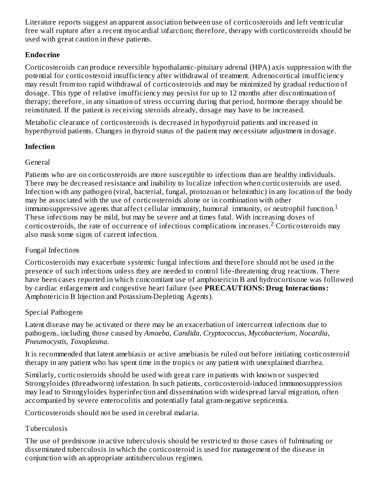Literature reports suggest an apparent association between use of corticosteroids and left ventricular free wall rupture after a recent myocardial infarction; therefore, therapy with corticosteroids should be used with great caution in these patients.

# **Endocrine**

Corticosteroids can produce reversible hypothalamic-pituitary adrenal (HPA) axis suppression with the potential for corticosteroid insufficiency after withdrawal of treatment. Adrenocortical insufficiency may result from too rapid withdrawal of corticosteroids and may be minimized by gradual reduction of dosage. This type of relative insufficiency may persist for up to 12 months after discontinuation of therapy; therefore, in any situation of stress occurring during that period, hormone therapy should be reinstituted. If the patient is receiving steroids already, dosage may have to be increased.

Metabolic clearance of corticosteroids is decreased in hypothyroid patients and increased in hyperthyroid patients. Changes in thyroid status of the patient may necessitate adjustment in dosage.

## **Infection**

### General

Patients who are on corticosteroids are more susceptible to infections than are healthy individuals. There may be decreased resistance and inability to localize infection when corticosteroids are used. Infection with any pathogen (viral, bacterial, fungal, protozoan or helminthic) in any location of the body may be associated with the use of corticosteroids alone or in combination with other immunosuppressive agents that affect cellular immunity, humoral immunity, or neutrophil function.<sup>1</sup> These infections may be mild, but may be severe and at times fatal. With increasing doses of corticosteroids, the rate of occurrence of infectious complications increases.<sup>2</sup> Corticosteroids may also mask some signs of current infection.

# Fungal Infections

Corticosteroids may exacerbate systemic fungal infections and therefore should not be used in the presence of such infections unless they are needed to control life-threatening drug reactions. There have been cases reported in which concomitant use of amphotericin B and hydrocortisone was followed by cardiac enlargement and congestive heart failure (see **PRECAUTIONS: Drug Interactions:** Amphotericin B Injection and Potassium-Depleting Agents).

### Special Pathogens

Latent disease may be activated or there may be an exacerbation of intercurrent infections due to pathogens, including those caused by *Amoeba, Candida, Cryptococcus, Mycobacterium, Nocardia, Pneumocystis, Toxoplasma*.

It is recommended that latent amebiasis or active amebiasis be ruled out before initiating corticosteroid therapy in any patient who has spent time in the tropics or any patient with unexplained diarrhea.

Similarly, corticosteroids should be used with great care in patients with known or suspected Strongyloides (threadworm) infestation. In such patients, corticosteroid-induced immunosuppression may lead to Strongyloides hyperinfection and dissemination with widespread larval migration, often accompanied by severe enterocolitis and potentially fatal gram-negative septicemia.

Corticosteroids should not be used in cerebral malaria.

# Tuberculosis

The use of prednisone in active tuberculosis should be restricted to those cases of fulminating or disseminated tuberculosis in which the corticosteroid is used for management of the disease in conjunction with an appropriate antituberculous regimen.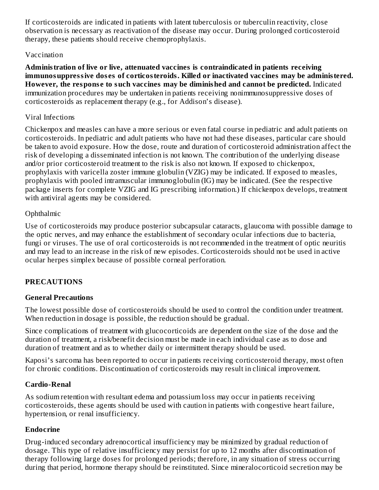If corticosteroids are indicated in patients with latent tuberculosis or tuberculin reactivity, close observation is necessary as reactivation of the disease may occur. During prolonged corticosteroid therapy, these patients should receive chemoprophylaxis.

## Vaccination

**Administration of live or live, attenuated vaccines is contraindicated in patients receiving immunosuppressive dos es of corticosteroids. Killed or inactivated vaccines may be administered. However, the respons e to such vaccines may be diminished and cannot be predicted.** Indicated immunization procedures may be undertaken in patients receiving nonimmunosuppressive doses of corticosteroids as replacement therapy (e.g., for Addison's disease).

## Viral Infections

Chickenpox and measles can have a more serious or even fatal course in pediatric and adult patients on corticosteroids. In pediatric and adult patients who have not had these diseases, particular care should be taken to avoid exposure. How the dose, route and duration of corticosteroid administration affect the risk of developing a disseminated infection is not known. The contribution of the underlying disease and/or prior corticosteroid treatment to the risk is also not known. If exposed to chickenpox, prophylaxis with varicella zoster immune globulin (VZIG) may be indicated. If exposed to measles, prophylaxis with pooled intramuscular immunoglobulin (IG) may be indicated. (See the respective package inserts for complete VZIG and IG prescribing information.) If chickenpox develops, treatment with antiviral agents may be considered.

# Ophthalmic

Use of corticosteroids may produce posterior subcapsular cataracts, glaucoma with possible damage to the optic nerves, and may enhance the establishment of secondary ocular infections due to bacteria, fungi or viruses. The use of oral corticosteroids is not recommended in the treatment of optic neuritis and may lead to an increase in the risk of new episodes. Corticosteroids should not be used in active ocular herpes simplex because of possible corneal perforation.

# **PRECAUTIONS**

# **General Precautions**

The lowest possible dose of corticosteroids should be used to control the condition under treatment. When reduction in dosage is possible, the reduction should be gradual.

Since complications of treatment with glucocorticoids are dependent on the size of the dose and the duration of treatment, a risk/benefit decision must be made in each individual case as to dose and duration of treatment and as to whether daily or intermittent therapy should be used.

Kaposi's sarcoma has been reported to occur in patients receiving corticosteroid therapy, most often for chronic conditions. Discontinuation of corticosteroids may result in clinical improvement.

# **Cardio-Renal**

As sodium retention with resultant edema and potassium loss may occur in patients receiving corticosteroids, these agents should be used with caution in patients with congestive heart failure, hypertension, or renal insufficiency.

# **Endocrine**

Drug-induced secondary adrenocortical insufficiency may be minimized by gradual reduction of dosage. This type of relative insufficiency may persist for up to 12 months after discontinuation of therapy following large doses for prolonged periods; therefore, in any situation of stress occurring during that period, hormone therapy should be reinstituted. Since mineralocorticoid secretion may be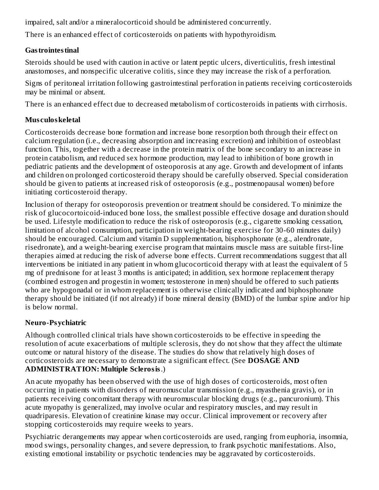impaired, salt and/or a mineralocorticoid should be administered concurrently.

There is an enhanced effect of corticosteroids on patients with hypothyroidism.

# **Gastrointestinal**

Steroids should be used with caution in active or latent peptic ulcers, diverticulitis, fresh intestinal anastomoses, and nonspecific ulcerative colitis, since they may increase the risk of a perforation.

Signs of peritoneal irritation following gastrointestinal perforation in patients receiving corticosteroids may be minimal or absent.

There is an enhanced effect due to decreased metabolism of corticosteroids in patients with cirrhosis.

# **Mus culoskeletal**

Corticosteroids decrease bone formation and increase bone resorption both through their effect on calcium regulation (i.e., decreasing absorption and increasing excretion) and inhibition of osteoblast function. This, together with a decrease in the protein matrix of the bone secondary to an increase in protein catabolism, and reduced sex hormone production, may lead to inhibition of bone growth in pediatric patients and the development of osteoporosis at any age. Growth and development of infants and children on prolonged corticosteroid therapy should be carefully observed. Special consideration should be given to patients at increased risk of osteoporosis (e.g., postmenopausal women) before initiating corticosteroid therapy.

Inclusion of therapy for osteoporosis prevention or treatment should be considered. To minimize the risk of glucocortoicoid-induced bone loss, the smallest possible effective dosage and duration should be used. Lifestyle modification to reduce the risk of osteoporosis (e.g., cigarette smoking cessation, limitation of alcohol consumption, participation in weight-bearing exercise for 30-60 minutes daily) should be encouraged. Calcium and vitamin D supplementation, bisphosphonate (e.g., alendronate, risedronate), and a weight-bearing exercise program that maintains muscle mass are suitable first-line therapies aimed at reducing the risk of adverse bone effects. Current recommendations suggest that all interventions be initiated in any patient in whom glucocorticoid therapy with at least the equivalent of 5 mg of prednisone for at least 3 months is anticipated; in addition, sex hormone replacement therapy (combined estrogen and progestin in women; testosterone in men) should be offered to such patients who are hypogonadal or in whom replacement is otherwise clinically indicated and biphosphonate therapy should be initiated (if not already) if bone mineral density (BMD) of the lumbar spine and/or hip is below normal.

# **Neuro-Psychiatric**

Although controlled clinical trials have shown corticosteroids to be effective in speeding the resolution of acute exacerbations of multiple sclerosis, they do not show that they affect the ultimate outcome or natural history of the disease. The studies do show that relatively high doses of corticosteroids are necessary to demonstrate a significant effect. (See **DOSAGE AND ADMINISTRATION: Multiple Sclerosis**.)

An acute myopathy has been observed with the use of high doses of corticosteroids, most often occurring in patients with disorders of neuromuscular transmission (e.g., myasthenia gravis), or in patients receiving concomitant therapy with neuromuscular blocking drugs (e.g., pancuronium). This acute myopathy is generalized, may involve ocular and respiratory muscles, and may result in quadriparesis. Elevation of creatinine kinase may occur. Clinical improvement or recovery after stopping corticosteroids may require weeks to years.

Psychiatric derangements may appear when corticosteroids are used, ranging from euphoria, insomnia, mood swings, personality changes, and severe depression, to frank psychotic manifestations. Also, existing emotional instability or psychotic tendencies may be aggravated by corticosteroids.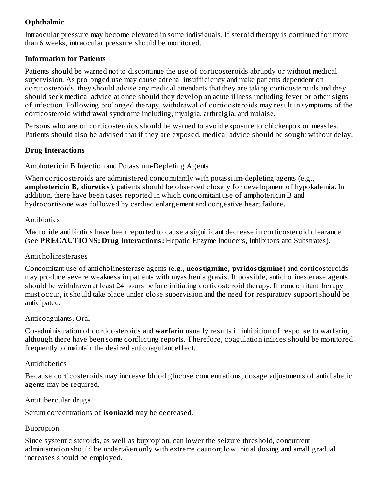# **Ophthalmic**

Intraocular pressure may become elevated in some individuals. If steroid therapy is continued for more than 6 weeks, intraocular pressure should be monitored.

## **Information for Patients**

Patients should be warned not to discontinue the use of corticosteroids abruptly or without medical supervision. As prolonged use may cause adrenal insufficiency and make patients dependent on corticosteroids, they should advise any medical attendants that they are taking corticosteroids and they should seek medical advice at once should they develop an acute illness including fever or other signs of infection. Following prolonged therapy, withdrawal of corticosteroids may result in symptoms of the corticosteroid withdrawal syndrome including, myalgia, arthralgia, and malaise.

Persons who are on corticosteroids should be warned to avoid exposure to chickenpox or measles. Patients should also be advised that if they are exposed, medical advice should be sought without delay.

## **Drug Interactions**

Amphotericin B Injection and Potassium-Depleting Agents

When corticosteroids are administered concomitantly with potassium-depleting agents (e.g., **amphotericin B, diuretics**), patients should be observed closely for development of hypokalemia. In addition, there have been cases reported in which concomitant use of amphotericin B and hydrocortisone was followed by cardiac enlargement and congestive heart failure.

## Antibiotics

Macrolide antibiotics have been reported to cause a significant decrease in corticosteroid clearance (see **PRECAUTIONS: Drug Interactions:** Hepatic Enzyme Inducers, Inhibitors and Substrates).

### Anticholinesterases

Concomitant use of anticholinesterase agents (e.g., **neostigmine, pyridostigmine**) and corticosteroids may produce severe weakness in patients with myasthenia gravis. If possible, anticholinesterase agents should be withdrawn at least 24 hours before initiating corticosteroid therapy. If concomitant therapy must occur, it should take place under close supervision and the need for respiratory support should be anticipated.

### Anticoagulants, Oral

Co-administration of corticosteroids and **warfarin** usually results in inhibition of response to warfarin, although there have been some conflicting reports. Therefore, coagulation indices should be monitored frequently to maintain the desired anticoagulant effect.

### Antidiabetics

Because corticosteroids may increase blood glucose concentrations, dosage adjustments of antidiabetic agents may be required.

### Antitubercular drugs

# Serum concentrations of **isoniazid** may be decreased.

# Bupropion

Since systemic steroids, as well as bupropion, can lower the seizure threshold, concurrent administration should be undertaken only with extreme caution; low initial dosing and small gradual increases should be employed.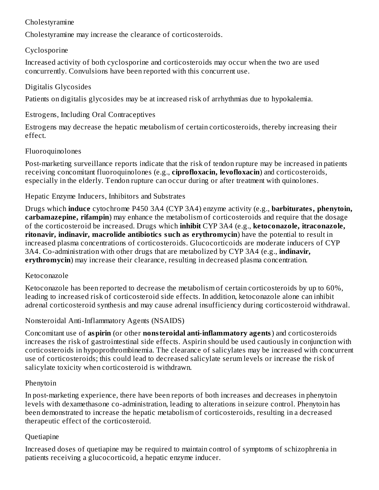## Cholestyramine

Cholestyramine may increase the clearance of corticosteroids.

#### Cyclosporine

Increased activity of both cyclosporine and corticosteroids may occur when the two are used concurrently. Convulsions have been reported with this concurrent use.

## Digitalis Glycosides

Patients on digitalis glycosides may be at increased risk of arrhythmias due to hypokalemia.

## Estrogens, Including Oral Contraceptives

Estrogens may decrease the hepatic metabolism of certain corticosteroids, thereby increasing their effect.

### Fluoroquinolones

Post-marketing surveillance reports indicate that the risk of tendon rupture may be increased in patients receiving concomitant fluoroquinolones (e.g., **ciprofloxacin, levofloxacin**) and corticosteroids, especially in the elderly. Tendon rupture can occur during or after treatment with quinolones.

### Hepatic Enzyme Inducers, Inhibitors and Substrates

Drugs which **induce** cytochrome P450 3A4 (CYP 3A4) enzyme activity (e.g., **barbiturates, phenytoin, carbamazepine, rifampin**) may enhance the metabolism of corticosteroids and require that the dosage of the corticosteroid be increased. Drugs which **inhibit** CYP 3A4 (e.g., **ketoconazole, itraconazole, ritonavir, indinavir, macrolide antibiotics such as erythromycin**) have the potential to result in increased plasma concentrations of corticosteroids. Glucocorticoids are moderate inducers of CYP 3A4. Co-administration with other drugs that are metabolized by CYP 3A4 (e.g., **indinavir, erythromycin**) may increase their clearance, resulting in decreased plasma concentration.

### Ketoconazole

Ketoconazole has been reported to decrease the metabolism of certain corticosteroids by up to 60%, leading to increased risk of corticosteroid side effects. In addition, ketoconazole alone can inhibit adrenal corticosteroid synthesis and may cause adrenal insufficiency during corticosteroid withdrawal.

### Nonsteroidal Anti-Inflammatory Agents (NSAIDS)

Concomitant use of **aspirin** (or other **nonsteroidal anti-inflammatory agents**) and corticosteroids increases the risk of gastrointestinal side effects. Aspirin should be used cautiously in conjunction with corticosteroids in hypoprothrombinemia. The clearance of salicylates may be increased with concurrent use of corticosteroids; this could lead to decreased salicylate serum levels or increase the risk of salicylate toxicity when corticosteroid is withdrawn.

### Phenytoin

In post-marketing experience, there have been reports of both increases and decreases in phenytoin levels with dexamethasone co-administration, leading to alterations in seizure control. Phenytoin has been demonstrated to increase the hepatic metabolism of corticosteroids, resulting in a decreased therapeutic effect of the corticosteroid.

### **Quetiapine**

Increased doses of quetiapine may be required to maintain control of symptoms of schizophrenia in patients receiving a glucocorticoid, a hepatic enzyme inducer.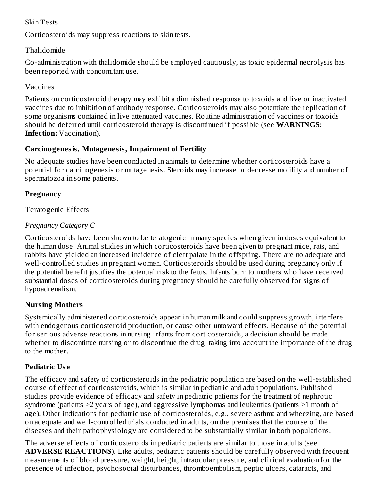## Skin Tests

Corticosteroids may suppress reactions to skin tests.

## Thalidomide

Co-administration with thalidomide should be employed cautiously, as toxic epidermal necrolysis has been reported with concomitant use.

### Vaccines

Patients on corticosteroid therapy may exhibit a diminished response to toxoids and live or inactivated vaccines due to inhibition of antibody response. Corticosteroids may also potentiate the replication of some organisms contained in live attenuated vaccines. Routine administration of vaccines or toxoids should be deferred until corticosteroid therapy is discontinued if possible (see **WARNINGS: Infection:** Vaccination).

### **Carcinogenesis, Mutagenesis, Impairment of Fertility**

No adequate studies have been conducted in animals to determine whether corticosteroids have a potential for carcinogenesis or mutagenesis. Steroids may increase or decrease motility and number of spermatozoa in some patients.

## **Pregnancy**

Teratogenic Effects

# *Pregnancy Category C*

Corticosteroids have been shown to be teratogenic in many species when given in doses equivalent to the human dose. Animal studies in which corticosteroids have been given to pregnant mice, rats, and rabbits have yielded an increased incidence of cleft palate in the offspring. There are no adequate and well-controlled studies in pregnant women. Corticosteroids should be used during pregnancy only if the potential benefit justifies the potential risk to the fetus. Infants born to mothers who have received substantial doses of corticosteroids during pregnancy should be carefully observed for signs of hypoadrenalism.

### **Nursing Mothers**

Systemically administered corticosteroids appear in human milk and could suppress growth, interfere with endogenous corticosteroid production, or cause other untoward effects. Because of the potential for serious adverse reactions in nursing infants from corticosteroids, a decision should be made whether to discontinue nursing or to discontinue the drug, taking into account the importance of the drug to the mother.

# **Pediatric Us e**

The efficacy and safety of corticosteroids in the pediatric population are based on the well-established course of effect of corticosteroids, which is similar in pediatric and adult populations. Published studies provide evidence of efficacy and safety in pediatric patients for the treatment of nephrotic syndrome (patients >2 years of age), and aggressive lymphomas and leukemias (patients >1 month of age). Other indications for pediatric use of corticosteroids, e.g., severe asthma and wheezing, are based on adequate and well-controlled trials conducted in adults, on the premises that the course of the diseases and their pathophysiology are considered to be substantially similar in both populations.

The adverse effects of corticosteroids in pediatric patients are similar to those in adults (see **ADVERSE REACTIONS**). Like adults, pediatric patients should be carefully observed with frequent measurements of blood pressure, weight, height, intraocular pressure, and clinical evaluation for the presence of infection, psychosocial disturbances, thromboembolism, peptic ulcers, cataracts, and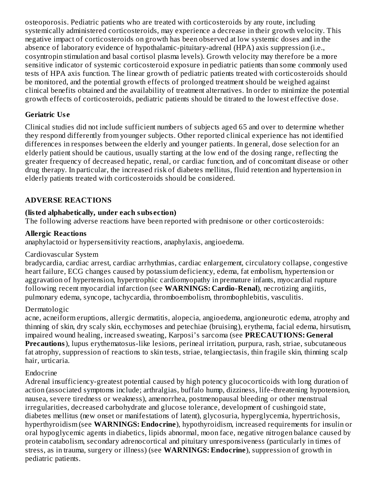osteoporosis. Pediatric patients who are treated with corticosteroids by any route, including systemically administered corticosteroids, may experience a decrease in their growth velocity. This negative impact of corticosteroids on growth has been observed at low systemic doses and in the absence of laboratory evidence of hypothalamic-pituitary-adrenal (HPA) axis suppression (i.e., cosyntropin stimulation and basal cortisol plasma levels). Growth velocity may therefore be a more sensitive indicator of systemic corticosteroid exposure in pediatric patients than some commonly used tests of HPA axis function. The linear growth of pediatric patients treated with corticosteroids should be monitored, and the potential growth effects of prolonged treatment should be weighed against clinical benefits obtained and the availability of treatment alternatives. In order to minimize the potential growth effects of corticosteroids, pediatric patients should be titrated to the lowest effective dose.

## **Geriatric Us e**

Clinical studies did not include sufficient numbers of subjects aged 65 and over to determine whether they respond differently from younger subjects. Other reported clinical experience has not identified differences in responses between the elderly and younger patients. In general, dose selection for an elderly patient should be cautious, usually starting at the low end of the dosing range, reflecting the greater frequency of decreased hepatic, renal, or cardiac function, and of concomitant disease or other drug therapy. In particular, the increased risk of diabetes mellitus, fluid retention and hypertension in elderly patients treated with corticosteroids should be considered.

# **ADVERSE REACTIONS**

### **(listed alphabetically, under each subs ection)**

The following adverse reactions have been reported with prednisone or other corticosteroids:

### **Allergic Reactions**

anaphylactoid or hypersensitivity reactions, anaphylaxis, angioedema.

### Cardiovascular System

bradycardia, cardiac arrest, cardiac arrhythmias, cardiac enlargement, circulatory collapse, congestive heart failure, ECG changes caused by potassium deficiency, edema, fat embolism, hypertension or aggravation of hypertension, hypertrophic cardiomyopathy in premature infants, myocardial rupture following recent myocardial infarction (see **WARNINGS: Cardio-Renal**), necrotizing angiitis, pulmonary edema, syncope, tachycardia, thromboembolism, thrombophlebitis, vasculitis.

### Dermatologic

acne, acneiform eruptions, allergic dermatitis, alopecia, angioedema, angioneurotic edema, atrophy and thinning of skin, dry scaly skin, ecchymoses and petechiae (bruising), erythema, facial edema, hirsutism, impaired wound healing, increased sweating, Karposi's sarcoma (see **PRECAUTIONS: General Precautions**), lupus erythematosus-like lesions, perineal irritation, purpura, rash, striae, subcutaneous fat atrophy, suppression of reactions to skin tests, striae, telangiectasis, thin fragile skin, thinning scalp hair, urticaria.

### Endocrine

Adrenal insufficiency-greatest potential caused by high potency glucocorticoids with long duration of action (associated symptoms include; arthralgias, buffalo hump, dizziness, life-threatening hypotension, nausea, severe tiredness or weakness), amenorrhea, postmenopausal bleeding or other menstrual irregularities, decreased carbohydrate and glucose tolerance, development of cushingoid state, diabetes mellitus (new onset or manifestations of latent), glycosuria, hyperglycemia, hypertrichosis, hyperthyroidism (see **WARNINGS: Endocrine**), hypothyroidism, increased requirements for insulin or oral hypoglycemic agents in diabetics, lipids abnormal, moon face, negative nitrogen balance caused by protein catabolism, secondary adrenocortical and pituitary unresponsiveness (particularly in times of stress, as in trauma, surgery or illness) (see **WARNINGS: Endocrine**), suppression of growth in pediatric patients.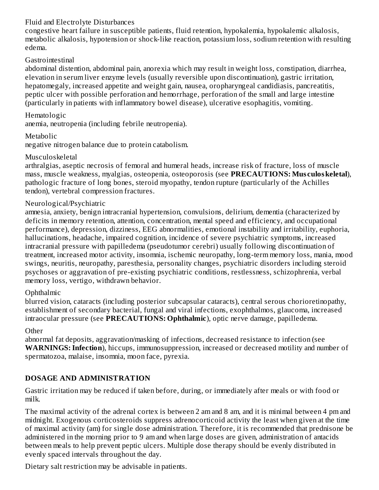# Fluid and Electrolyte Disturbances

congestive heart failure in susceptible patients, fluid retention, hypokalemia, hypokalemic alkalosis, metabolic alkalosis, hypotension or shock-like reaction, potassium loss, sodium retention with resulting edema.

## **Gastrointestinal**

abdominal distention, abdominal pain, anorexia which may result in weight loss, constipation, diarrhea, elevation in serum liver enzyme levels (usually reversible upon discontinuation), gastric irritation, hepatomegaly, increased appetite and weight gain, nausea, oropharyngeal candidiasis, pancreatitis, peptic ulcer with possible perforation and hemorrhage, perforation of the small and large intestine (particularly in patients with inflammatory bowel disease), ulcerative esophagitis, vomiting.

## Hematologic

anemia, neutropenia (including febrile neutropenia).

Metabolic

negative nitrogen balance due to protein catabolism.

Musculoskeletal

arthralgias, aseptic necrosis of femoral and humeral heads, increase risk of fracture, loss of muscle mass, muscle weakness, myalgias, osteopenia, osteoporosis (see **PRECAUTIONS: Mus culoskeletal**), pathologic fracture of long bones, steroid myopathy, tendon rupture (particularly of the Achilles tendon), vertebral compression fractures.

## Neurological/Psychiatric

amnesia, anxiety, benign intracranial hypertension, convulsions, delirium, dementia (characterized by deficits in memory retention, attention, concentration, mental speed and efficiency, and occupational performance), depression, dizziness, EEG abnormalities, emotional instability and irritability, euphoria, hallucinations, headache, impaired cognition, incidence of severe psychiatric symptoms, increased intracranial pressure with papilledema (pseudotumor cerebri) usually following discontinuation of treatment, increased motor activity, insomnia, ischemic neuropathy, long-term memory loss, mania, mood swings, neuritis, neuropathy, paresthesia, personality changes, psychiatric disorders including steroid psychoses or aggravation of pre-existing psychiatric conditions, restlessness, schizophrenia, verbal memory loss, vertigo, withdrawn behavior.

# Ophthalmic

blurred vision, cataracts (including posterior subcapsular cataracts), central serous chorioretinopathy, establishment of secondary bacterial, fungal and viral infections, exophthalmos, glaucoma, increased intraocular pressure (see **PRECAUTIONS: Ophthalmic**), optic nerve damage, papilledema.

### **Other**

abnormal fat deposits, aggravation/masking of infections, decreased resistance to infection (see **WARNINGS:Infection**), hiccups, immunosuppression, increased or decreased motility and number of spermatozoa, malaise, insomnia, moon face, pyrexia.

# **DOSAGE AND ADMINISTRATION**

Gastric irritation may be reduced if taken before, during, or immediately after meals or with food or milk.

The maximal activity of the adrenal cortex is between 2 am and 8 am, and it is minimal between 4 pm and midnight. Exogenous corticosteroids suppress adrenocorticoid activity the least when given at the time of maximal activity (am) for single dose administration. Therefore, it is recommended that prednisone be administered in the morning prior to 9 am and when large doses are given, administration of antacids between meals to help prevent peptic ulcers. Multiple dose therapy should be evenly distributed in evenly spaced intervals throughout the day.

Dietary salt restriction may be advisable in patients.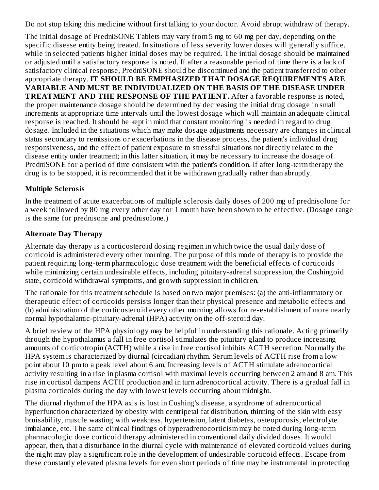Do not stop taking this medicine without first talking to your doctor. Avoid abrupt withdraw of therapy.

The initial dosage of PredniSONE Tablets may vary from 5 mg to 60 mg per day, depending on the specific disease entity being treated. In situations of less severity lower doses will generally suffice, while in selected patients higher initial doses may be required. The initial dosage should be maintained or adjusted until a satisfactory response is noted. If after a reasonable period of time there is a lack of satisfactory clinical response, PredniSONE should be discontinued and the patient transferred to other appropriate therapy. **IT SHOULD BE EMPHASIZED THAT DOSAGE REQUIREMENTS ARE VARIABLE AND MUST BE INDIVIDUALIZED ON THE BASIS OF THE DISEASE UNDER TREATMENT AND THE RESPONSE OF THE PATIENT.** After a favorable response is noted, the proper maintenance dosage should be determined by decreasing the initial drug dosage in small increments at appropriate time intervals until the lowest dosage which will maintain an adequate clinical response is reached. It should be kept in mind that constant monitoring is needed in regard to drug dosage. Included in the situations which may make dosage adjustments necessary are changes in clinical status secondary to remissions or exacerbations in the disease process, the patient's individual drug responsiveness, and the effect of patient exposure to stressful situations not directly related to the disease entity under treatment; in this latter situation, it may be necessary to increase the dosage of PredniSONE for a period of time consistent with the patient's condition. If after long-term therapy the drug is to be stopped, it is recommended that it be withdrawn gradually rather than abruptly.

### **Multiple Sclerosis**

In the treatment of acute exacerbations of multiple sclerosis daily doses of 200 mg of prednisolone for a week followed by 80 mg every other day for 1 month have been shown to be effective. (Dosage range is the same for prednisone and prednisolone.)

## **Alternate Day Therapy**

Alternate day therapy is a corticosteroid dosing regimen in which twice the usual daily dose of corticoid is administered every other morning. The purpose of this mode of therapy is to provide the patient requiring long-term pharmacologic dose treatment with the beneficial effects of corticoids while minimizing certain undesirable effects, including pituitary-adrenal suppression, the Cushingoid state, corticoid withdrawal symptoms, and growth suppression in children.

The rationale for this treatment schedule is based on two major premises: (a) the anti-inflammatory or therapeutic effect of corticoids persists longer than their physical presence and metabolic effects and (b) administration of the corticosteroid every other morning allows for re-establishment of more nearly normal hypothalamic-pituitary-adrenal (HPA) activity on the off-steroid day.

A brief review of the HPA physiology may be helpful in understanding this rationale. Acting primarily through the hypothalamus a fall in free cortisol stimulates the pituitary gland to produce increasing amounts of corticotropin (ACTH) while a rise in free cortisol inhibits ACTH secretion. Normally the HPA system is characterized by diurnal (circadian) rhythm. Serum levels of ACTH rise from a low point about 10 pm to a peak level about 6 am. Increasing levels of ACTH stimulate adrenocortical activity resulting in a rise in plasma cortisol with maximal levels occurring between 2 am and 8 am. This rise in cortisol dampens ACTH production and in turn adrenocortical activity. There is a gradual fall in plasma corticoids during the day with lowest levels occurring about midnight.

The diurnal rhythm of the HPA axis is lost in Cushing's disease, a syndrome of adrenocortical hyperfunction characterized by obesity with centripetal fat distribution, thinning of the skin with easy bruisability, muscle wasting with weakness, hypertension, latent diabetes, osteoporosis, electrolyte imbalance, etc. The same clinical findings of hyperadrenocorticism may be noted during long-term pharmacologic dose corticoid therapy administered in conventional daily divided doses. It would appear, then, that a disturbance in the diurnal cycle with maintenance of elevated corticoid values during the night may play a significant role in the development of undesirable corticoid effects. Escape from these constantly elevated plasma levels for even short periods of time may be instrumental in protecting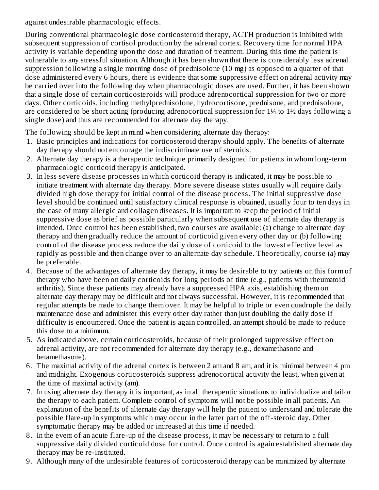against undesirable pharmacologic effects.

During conventional pharmacologic dose corticosteroid therapy, ACTH production is inhibited with subsequent suppression of cortisol production by the adrenal cortex. Recovery time for normal HPA activity is variable depending upon the dose and duration of treatment. During this time the patient is vulnerable to any stressful situation. Although it has been shown that there is considerably less adrenal suppression following a single morning dose of prednisolone (10 mg) as opposed to a quarter of that dose administered every 6 hours, there is evidence that some suppressive effect on adrenal activity may be carried over into the following day when pharmacologic doses are used. Further, it has been shown that a single dose of certain corticosteroids will produce adrenocortical suppression for two or more days. Other corticoids, including methylprednisolone, hydrocortisone, prednisone, and prednisolone, are considered to be short acting (producing adrenocortical suppression for 1¼ to 1½ days following a single dose) and thus are recommended for alternate day therapy.

The following should be kept in mind when considering alternate day therapy:

- 1. Basic principles and indications for corticosteroid therapy should apply. The benefits of alternate day therapy should not encourage the indiscriminate use of steroids.
- 2. Alternate day therapy is a therapeutic technique primarily designed for patients in whom long-term pharmacologic corticoid therapy is anticipated.
- 3. In less severe disease processes in which corticoid therapy is indicated, it may be possible to initiate treatment with alternate day therapy. More severe disease states usually will require daily divided high dose therapy for initial control of the disease process. The initial suppressive dose level should be continued until satisfactory clinical response is obtained, usually four to ten days in the case of many allergic and collagen diseases. It is important to keep the period of initial suppressive dose as brief as possible particularly when subsequent use of alternate day therapy is intended. Once control has been established, two courses are available: (a) change to alternate day therapy and then gradually reduce the amount of corticoid given every other day or (b) following control of the disease process reduce the daily dose of corticoid to the lowest effective level as rapidly as possible and then change over to an alternate day schedule. Theoretically, course (a) may be preferable.
- 4. Because of the advantages of alternate day therapy, it may be desirable to try patients on this form of therapy who have been on daily corticoids for long periods of time (e.g., patients with rheumatoid arthritis). Since these patients may already have a suppressed HPA axis, establishing them on alternate day therapy may be difficult and not always successful. However, it is recommended that regular attempts be made to change them over. It may be helpful to triple or even quadruple the daily maintenance dose and administer this every other day rather than just doubling the daily dose if difficulty is encountered. Once the patient is again controlled, an attempt should be made to reduce this dose to a minimum.
- 5. As indicated above, certain corticosteroids, because of their prolonged suppressive effect on adrenal activity, are not recommended for alternate day therapy (e.g., dexamethasone and betamethasone).
- 6. The maximal activity of the adrenal cortex is between 2 am and 8 am, and it is minimal between 4 pm and midnight. Exogenous corticosteroids suppress adrenocortical activity the least, when given at the time of maximal activity (am).
- 7. In using alternate day therapy it is important, as in all therapeutic situations to individualize and tailor the therapy to each patient. Complete control of symptoms will not be possible in all patients. An explanation of the benefits of alternate day therapy will help the patient to understand and tolerate the possible flare-up in symptoms which may occur in the latter part of the off-steroid day. Other symptomatic therapy may be added or increased at this time if needed.
- 8. In the event of an acute flare-up of the disease process, it may be necessary to return to a full suppressive daily divided corticoid dose for control. Once control is again established alternate day therapy may be re-instituted.
- 9. Although many of the undesirable features of corticosteroid therapy can be minimized by alternate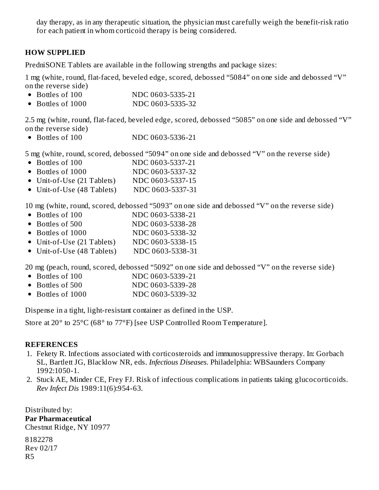day therapy, as in any therapeutic situation, the physician must carefully weigh the benefit-risk ratio for each patient in whom corticoid therapy is being considered.

### **HOW SUPPLIED**

PredniSONE Tablets are available in the following strengths and package sizes:

1 mg (white, round, flat-faced, beveled edge, scored, debossed "5084" on one side and debossed "V" on the reverse side)

- Bottles of 100 NDC 0603-5335-21
- Bottles of 1000 NDC 0603-5335-32

2.5 mg (white, round, flat-faced, beveled edge, scored, debossed "5085" on one side and debossed "V" on the reverse side)

• Bottles of 100 NDC 0603-5336-21

5 mg (white, round, scored, debossed "5094" on one side and debossed "V" on the reverse side)

- Bottles of 100 NDC 0603-5337-21
- Bottles of 1000 NDC 0603-5337-32
- Unit-of-Use (21 Tablets) NDC 0603-5337-15
- Unit-of-Use (48 Tablets) NDC 0603-5337-31

10 mg (white, round, scored, debossed "5093" on one side and debossed "V" on the reverse side)

- Bottles of 100 NDC 0603-5338-21
- Bottles of 500 NDC 0603-5338-28
- Bottles of 1000 NDC 0603-5338-32
- Unit-of-Use (21 Tablets) NDC 0603-5338-15
- Unit-of-Use (48 Tablets) NDC 0603-5338-31

20 mg (peach, round, scored, debossed "5092" on one side and debossed "V" on the reverse side)

- Bottles of 100 NDC 0603-5339-21
- Bottles of 500 NDC 0603-5339-28
- Bottles of 1000 NDC 0603-5339-32

Dispense in a tight, light-resistant container as defined in the USP.

Store at 20° to 25°C (68° to 77°F) [see USP Controlled Room Temperature].

#### **REFERENCES**

- 1. Fekety R. Infections associated with corticosteroids and immunosuppressive therapy. In: Gorbach SL, Bartlett JG, Blacklow NR, eds. *Infectious Diseases*. Philadelphia: WBSaunders Company 1992:1050-1.
- 2. Stuck AE, Minder CE, Frey FJ. Risk of infectious complications in patients taking glucocorticoids. *Rev Infect Dis* 1989:11(6):954-63.

Distributed by: **Par Pharmaceutical** Chestnut Ridge, NY 10977

8182278 Rev 02/17 R5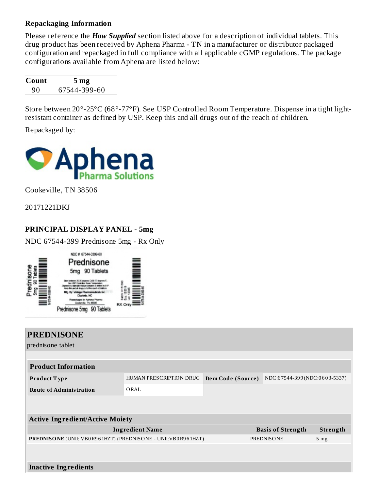#### **Repackaging Information**

Please reference the *How Supplied* section listed above for a description of individual tablets. This drug product has been received by Aphena Pharma - TN in a manufacturer or distributor packaged configuration and repackaged in full compliance with all applicable cGMP regulations. The package configurations available from Aphena are listed below:

| Count | 5 <sub>mg</sub> |
|-------|-----------------|
| 90    | 67544-399-60    |

Store between 20°-25°C (68°-77°F). See USP Controlled Room Temperature. Dispense in a tight lightresistant container as defined by USP. Keep this and all drugs out of the reach of children.

Repackaged by:



Cookeville, TN 38506

20171221DKJ

## **PRINCIPAL DISPLAY PANEL - 5mg**

NDC 67544-399 Prednisone 5mg - Rx Only

| NDC # 67544-0399-60                                                 |         |
|---------------------------------------------------------------------|---------|
| Prednisone                                                          |         |
| 5mg 90 Tablets                                                      |         |
| To despress C 898-17 despress F)<br>all draps cut of the reach of d |         |
| Mig. By Vintage Pharmaceuticals.<br>Charlotte NC                    |         |
| Repackaged by Aphena Pharma<br>Cookeville, TN 38506                 | RX Only |
| Prednisone 5mg 90 Tablets                                           |         |

| <b>PREDNISONE</b>                                                            |                         |                          |                              |                 |  |  |
|------------------------------------------------------------------------------|-------------------------|--------------------------|------------------------------|-----------------|--|--|
| prednisone tablet                                                            |                         |                          |                              |                 |  |  |
|                                                                              |                         |                          |                              |                 |  |  |
| <b>Product Information</b>                                                   |                         |                          |                              |                 |  |  |
| <b>Product Type</b>                                                          | HUMAN PRESCRIPTION DRUG | Item Code (Source)       | NDC:67544-399(NDC:0603-5337) |                 |  |  |
| <b>Route of Administration</b>                                               | ORAL                    |                          |                              |                 |  |  |
|                                                                              |                         |                          |                              |                 |  |  |
|                                                                              |                         |                          |                              |                 |  |  |
| <b>Active Ingredient/Active Moiety</b>                                       |                         |                          |                              |                 |  |  |
| <b>Ingredient Name</b>                                                       |                         | <b>Basis of Strength</b> | Strength                     |                 |  |  |
| <b>PREDNISO NE (UNII: VB0 R9 6 1HZT) (PREDNISO NE - UNII: VB0 R9 6 1HZT)</b> |                         |                          | PREDNISONE                   | 5 <sub>mg</sub> |  |  |
|                                                                              |                         |                          |                              |                 |  |  |
|                                                                              |                         |                          |                              |                 |  |  |
| <b>Inactive Ingredients</b>                                                  |                         |                          |                              |                 |  |  |